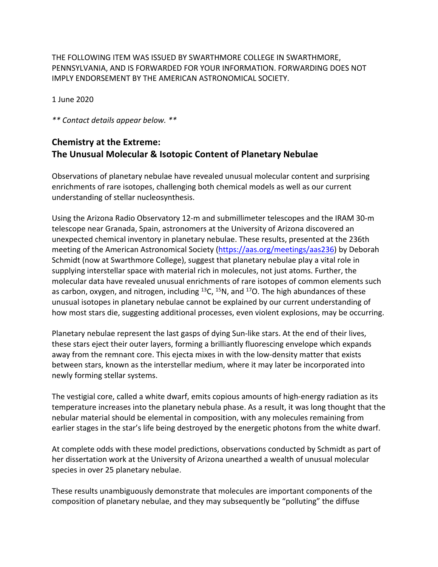THE FOLLOWING ITEM WAS ISSUED BY SWARTHMORE COLLEGE IN SWARTHMORE, PENNSYLVANIA, AND IS FORWARDED FOR YOUR INFORMATION. FORWARDING DOES NOT IMPLY ENDORSEMENT BY THE AMERICAN ASTRONOMICAL SOCIETY.

1 June 2020

*\*\* Contact details appear below. \*\**

## **Chemistry at the Extreme: The Unusual Molecular & Isotopic Content of Planetary Nebulae**

Observations of planetary nebulae have revealed unusual molecular content and surprising enrichments of rare isotopes, challenging both chemical models as well as our current understanding of stellar nucleosynthesis.

Using the Arizona Radio Observatory 12-m and submillimeter telescopes and the IRAM 30-m telescope near Granada, Spain, astronomers at the University of Arizona discovered an unexpected chemical inventory in planetary nebulae. These results, presented at the 236th meeting of the American Astronomical Society (https://aas.org/meetings/aas236) by Deborah Schmidt (now at Swarthmore College), suggest that planetary nebulae play a vital role in supplying interstellar space with material rich in molecules, not just atoms. Further, the molecular data have revealed unusual enrichments of rare isotopes of common elements such as carbon, oxygen, and nitrogen, including  $^{13}$ C,  $^{15}$ N, and  $^{17}$ O. The high abundances of these unusual isotopes in planetary nebulae cannot be explained by our current understanding of how most stars die, suggesting additional processes, even violent explosions, may be occurring.

Planetary nebulae represent the last gasps of dying Sun-like stars. At the end of their lives, these stars eject their outer layers, forming a brilliantly fluorescing envelope which expands away from the remnant core. This ejecta mixes in with the low-density matter that exists between stars, known as the interstellar medium, where it may later be incorporated into newly forming stellar systems.

The vestigial core, called a white dwarf, emits copious amounts of high-energy radiation as its temperature increases into the planetary nebula phase. As a result, it was long thought that the nebular material should be elemental in composition, with any molecules remaining from earlier stages in the star's life being destroyed by the energetic photons from the white dwarf.

At complete odds with these model predictions, observations conducted by Schmidt as part of her dissertation work at the University of Arizona unearthed a wealth of unusual molecular species in over 25 planetary nebulae.

These results unambiguously demonstrate that molecules are important components of the composition of planetary nebulae, and they may subsequently be "polluting" the diffuse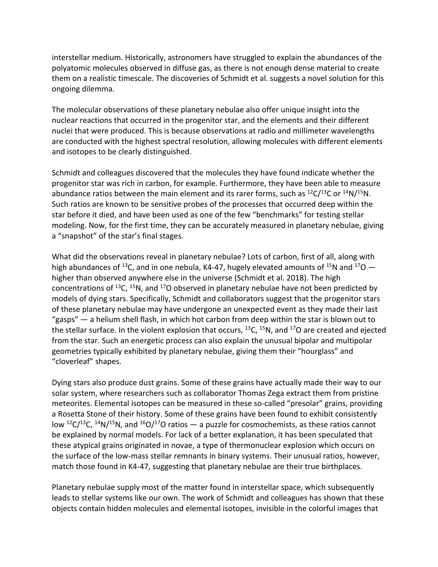interstellar medium. Historically, astronomers have struggled to explain the abundances of the polyatomic molecules observed in diffuse gas, as there is not enough dense material to create them on a realistic timescale. The discoveries of Schmidt et al. suggests a novel solution for this ongoing dilemma.

The molecular observations of these planetary nebulae also offer unique insight into the nuclear reactions that occurred in the progenitor star, and the elements and their different nuclei that were produced. This is because observations at radio and millimeter wavelengths are conducted with the highest spectral resolution, allowing molecules with different elements and isotopes to be clearly distinguished.

Schmidt and colleagues discovered that the molecules they have found indicate whether the progenitor star was rich in carbon, for example. Furthermore, they have been able to measure abundance ratios between the main element and its rarer forms, such as  ${}^{12}C/{}^{13}C$  or  ${}^{14}N/{}^{15}N$ . Such ratios are known to be sensitive probes of the processes that occurred deep within the star before it died, and have been used as one of the few "benchmarks" for testing stellar modeling. Now, for the first time, they can be accurately measured in planetary nebulae, giving a "snapshot" of the star's final stages.

What did the observations reveal in planetary nebulae? Lots of carbon, first of all, along with high abundances of <sup>13</sup>C, and in one nebula, K4-47, hugely elevated amounts of <sup>15</sup>N and <sup>17</sup>O  $$ higher than observed anywhere else in the universe (Schmidt et al. 2018). The high concentrations of  $^{13}C$ ,  $^{15}N$ , and  $^{17}O$  observed in planetary nebulae have not been predicted by models of dying stars. Specifically, Schmidt and collaborators suggest that the progenitor stars of these planetary nebulae may have undergone an unexpected event as they made their last "gasps" — a helium shell flash, in which hot carbon from deep within the star is blown out to the stellar surface. In the violent explosion that occurs,  $^{13}C$ ,  $^{15}N$ , and  $^{17}O$  are created and ejected from the star. Such an energetic process can also explain the unusual bipolar and multipolar geometries typically exhibited by planetary nebulae, giving them their "hourglass" and "cloverleaf" shapes.

Dying stars also produce dust grains. Some of these grains have actually made their way to our solar system, where researchers such as collaborator Thomas Zega extract them from pristine meteorites. Elemental isotopes can be measured in these so-called "presolar" grains, providing a Rosetta Stone of their history. Some of these grains have been found to exhibit consistently low <sup>12</sup>C/<sup>13</sup>C, <sup>14</sup>N/<sup>15</sup>N, and <sup>16</sup>O/<sup>17</sup>O ratios — a puzzle for cosmochemists, as these ratios cannot be explained by normal models. For lack of a better explanation, it has been speculated that these atypical grains originated in novae, a type of thermonuclear explosion which occurs on the surface of the low-mass stellar remnants in binary systems. Their unusual ratios, however, match those found in K4-47, suggesting that planetary nebulae are their true birthplaces.

Planetary nebulae supply most of the matter found in interstellar space, which subsequently leads to stellar systems like our own. The work of Schmidt and colleagues has shown that these objects contain hidden molecules and elemental isotopes, invisible in the colorful images that